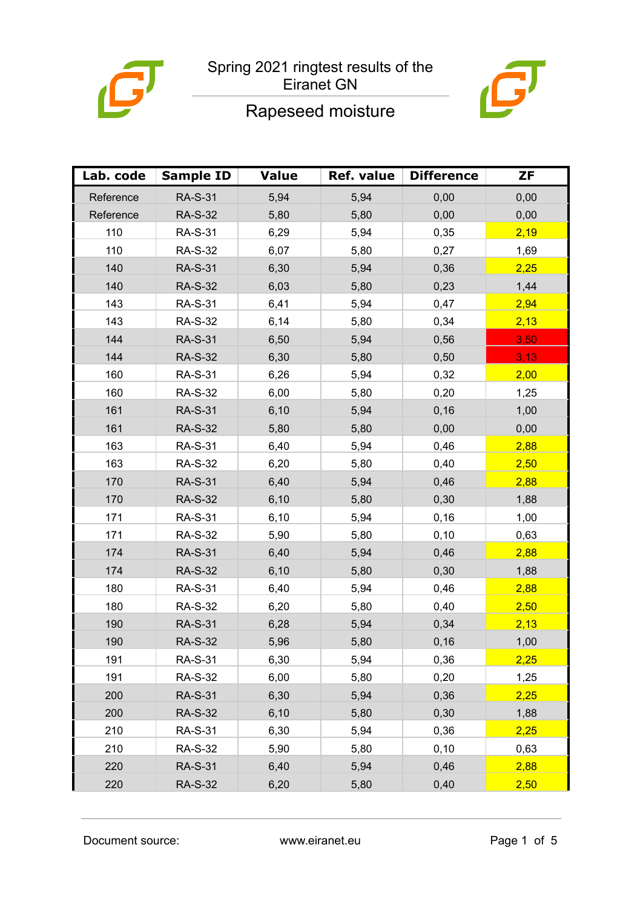

# Rapeseed moisture



| Lab. code | <b>Sample ID</b> | <b>Value</b> | Ref. value | <b>Difference</b> | ZF   |
|-----------|------------------|--------------|------------|-------------------|------|
| Reference | <b>RA-S-31</b>   | 5,94         | 5,94       | 0,00              | 0,00 |
| Reference | <b>RA-S-32</b>   | 5,80         | 5,80       | 0,00              | 0,00 |
| 110       | <b>RA-S-31</b>   | 6,29         | 5,94       | 0,35              | 2,19 |
| 110       | <b>RA-S-32</b>   | 6,07         | 5,80       | 0,27              | 1,69 |
| 140       | <b>RA-S-31</b>   | 6,30         | 5,94       | 0,36              | 2,25 |
| 140       | <b>RA-S-32</b>   | 6,03         | 5,80       | 0,23              | 1,44 |
| 143       | <b>RA-S-31</b>   | 6,41         | 5,94       | 0,47              | 2,94 |
| 143       | <b>RA-S-32</b>   | 6,14         | 5,80       | 0,34              | 2,13 |
| 144       | <b>RA-S-31</b>   | 6,50         | 5,94       | 0,56              | 3,50 |
| 144       | <b>RA-S-32</b>   | 6,30         | 5,80       | 0,50              | 3,13 |
| 160       | <b>RA-S-31</b>   | 6,26         | 5,94       | 0,32              | 2,00 |
| 160       | <b>RA-S-32</b>   | 6,00         | 5,80       | 0,20              | 1,25 |
| 161       | <b>RA-S-31</b>   | 6,10         | 5,94       | 0,16              | 1,00 |
| 161       | <b>RA-S-32</b>   | 5,80         | 5,80       | 0,00              | 0,00 |
| 163       | <b>RA-S-31</b>   | 6,40         | 5,94       | 0,46              | 2,88 |
| 163       | <b>RA-S-32</b>   | 6,20         | 5,80       | 0,40              | 2,50 |
| 170       | <b>RA-S-31</b>   | 6,40         | 5,94       | 0,46              | 2,88 |
| 170       | <b>RA-S-32</b>   | 6,10         | 5,80       | 0,30              | 1,88 |
| 171       | <b>RA-S-31</b>   | 6,10         | 5,94       | 0, 16             | 1,00 |
| 171       | <b>RA-S-32</b>   | 5,90         | 5,80       | 0,10              | 0,63 |
| 174       | <b>RA-S-31</b>   | 6,40         | 5,94       | 0,46              | 2,88 |
| 174       | <b>RA-S-32</b>   | 6, 10        | 5,80       | 0,30              | 1,88 |
| 180       | <b>RA-S-31</b>   | 6,40         | 5,94       | 0,46              | 2,88 |
| 180       | <b>RA-S-32</b>   | 6,20         | 5,80       | 0,40              | 2,50 |
| 190       | <b>RA-S-31</b>   | 6,28         | 5,94       | 0,34              | 2,13 |
| 190       | <b>RA-S-32</b>   | 5,96         | 5,80       | 0,16              | 1,00 |
| 191       | <b>RA-S-31</b>   | 6,30         | 5,94       | 0,36              | 2,25 |
| 191       | <b>RA-S-32</b>   | 6,00         | 5,80       | 0,20              | 1,25 |
| 200       | <b>RA-S-31</b>   | 6,30         | 5,94       | 0,36              | 2,25 |
| 200       | <b>RA-S-32</b>   | 6,10         | 5,80       | 0,30              | 1,88 |
| 210       | <b>RA-S-31</b>   | 6,30         | 5,94       | 0,36              | 2,25 |
| 210       | <b>RA-S-32</b>   | 5,90         | 5,80       | 0,10              | 0,63 |
| 220       | <b>RA-S-31</b>   | 6,40         | 5,94       | 0,46              | 2,88 |
| 220       | <b>RA-S-32</b>   | 6,20         | 5,80       | 0,40              | 2,50 |

Document source: www.eiranet.eu Page 1 of 5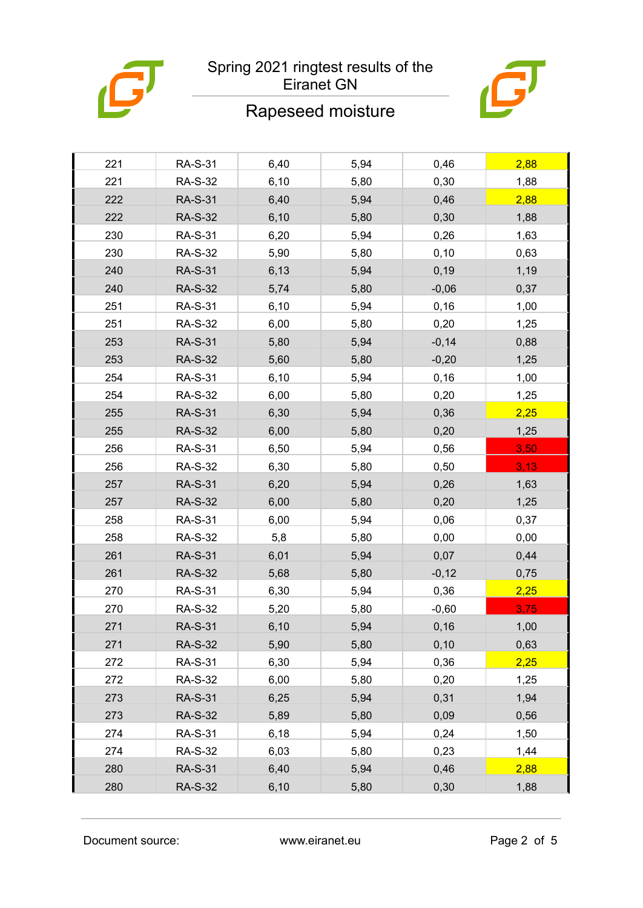

### Rapeseed moisture



| 221 | <b>RA-S-31</b> | 6,40  | 5,94 | 0,46    | 2,88 |
|-----|----------------|-------|------|---------|------|
| 221 | <b>RA-S-32</b> | 6, 10 | 5,80 | 0,30    | 1,88 |
| 222 | <b>RA-S-31</b> | 6,40  | 5,94 | 0,46    | 2,88 |
| 222 | <b>RA-S-32</b> | 6, 10 | 5,80 | 0,30    | 1,88 |
| 230 | <b>RA-S-31</b> | 6,20  | 5,94 | 0,26    | 1,63 |
| 230 | <b>RA-S-32</b> | 5,90  | 5,80 | 0, 10   | 0,63 |
| 240 | <b>RA-S-31</b> | 6,13  | 5,94 | 0, 19   | 1,19 |
| 240 | <b>RA-S-32</b> | 5,74  | 5,80 | $-0,06$ | 0,37 |
| 251 | <b>RA-S-31</b> | 6, 10 | 5,94 | 0, 16   | 1,00 |
| 251 | <b>RA-S-32</b> | 6,00  | 5,80 | 0,20    | 1,25 |
| 253 | <b>RA-S-31</b> | 5,80  | 5,94 | $-0,14$ | 0,88 |
| 253 | <b>RA-S-32</b> | 5,60  | 5,80 | $-0,20$ | 1,25 |
| 254 | <b>RA-S-31</b> | 6, 10 | 5,94 | 0,16    | 1,00 |
| 254 | <b>RA-S-32</b> | 6,00  | 5,80 | 0,20    | 1,25 |
| 255 | <b>RA-S-31</b> | 6,30  | 5,94 | 0,36    | 2,25 |
| 255 | <b>RA-S-32</b> | 6,00  | 5,80 | 0,20    | 1,25 |
| 256 | <b>RA-S-31</b> | 6,50  | 5,94 | 0,56    | 3,50 |
| 256 | <b>RA-S-32</b> | 6,30  | 5,80 | 0,50    | 3,13 |
| 257 | <b>RA-S-31</b> | 6,20  | 5,94 | 0,26    | 1,63 |
| 257 | <b>RA-S-32</b> | 6,00  | 5,80 | 0,20    | 1,25 |
| 258 | <b>RA-S-31</b> | 6,00  | 5,94 | 0,06    | 0,37 |
| 258 | <b>RA-S-32</b> | 5,8   | 5,80 | 0,00    | 0,00 |
| 261 | <b>RA-S-31</b> | 6,01  | 5,94 | 0,07    | 0,44 |
| 261 | <b>RA-S-32</b> | 5,68  | 5,80 | $-0,12$ | 0,75 |
| 270 | <b>RA-S-31</b> | 6,30  | 5,94 | 0,36    | 2,25 |
| 270 | <b>RA-S-32</b> | 5,20  | 5,80 | $-0,60$ | 3,75 |
| 271 | <b>RA-S-31</b> | 6, 10 | 5,94 | 0, 16   | 1,00 |
| 271 | <b>RA-S-32</b> | 5,90  | 5,80 | 0,10    | 0,63 |
| 272 | <b>RA-S-31</b> | 6,30  | 5,94 | 0,36    | 2,25 |
| 272 | <b>RA-S-32</b> | 6,00  | 5,80 | 0,20    | 1,25 |
| 273 | <b>RA-S-31</b> | 6,25  | 5,94 | 0,31    | 1,94 |
| 273 | <b>RA-S-32</b> | 5,89  | 5,80 | 0,09    | 0,56 |
| 274 | <b>RA-S-31</b> | 6,18  | 5,94 | 0,24    | 1,50 |
| 274 | <b>RA-S-32</b> | 6,03  | 5,80 | 0,23    | 1,44 |
| 280 | <b>RA-S-31</b> | 6,40  | 5,94 | 0,46    | 2,88 |
| 280 | <b>RA-S-32</b> | 6, 10 | 5,80 | 0,30    | 1,88 |

Document source: www.eiranet.eu Page 2 of 5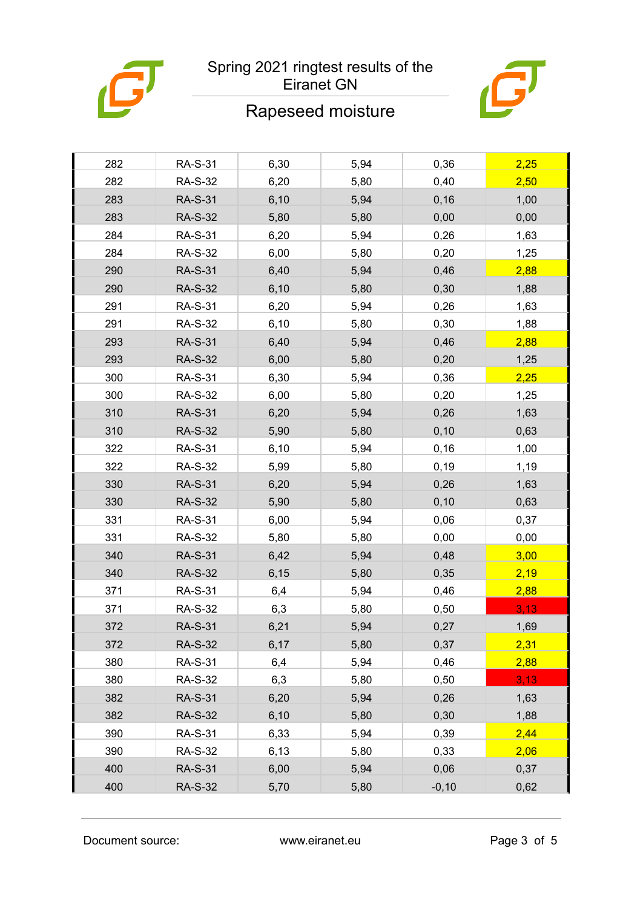

### Rapeseed moisture



| 282 | <b>RA-S-31</b> | 6,30  | 5,94 | 0,36    | 2,25 |
|-----|----------------|-------|------|---------|------|
| 282 | <b>RA-S-32</b> | 6,20  | 5,80 | 0,40    | 2,50 |
| 283 | <b>RA-S-31</b> | 6,10  | 5,94 | 0,16    | 1,00 |
| 283 | <b>RA-S-32</b> | 5,80  | 5,80 | 0,00    | 0,00 |
| 284 | <b>RA-S-31</b> | 6,20  | 5,94 | 0,26    | 1,63 |
| 284 | <b>RA-S-32</b> | 6,00  | 5,80 | 0,20    | 1,25 |
| 290 | <b>RA-S-31</b> | 6,40  | 5,94 | 0,46    | 2,88 |
| 290 | <b>RA-S-32</b> | 6, 10 | 5,80 | 0,30    | 1,88 |
| 291 | <b>RA-S-31</b> | 6,20  | 5,94 | 0,26    | 1,63 |
| 291 | <b>RA-S-32</b> | 6, 10 | 5,80 | 0,30    | 1,88 |
| 293 | <b>RA-S-31</b> | 6,40  | 5,94 | 0,46    | 2,88 |
| 293 | <b>RA-S-32</b> | 6,00  | 5,80 | 0,20    | 1,25 |
| 300 | <b>RA-S-31</b> | 6,30  | 5,94 | 0,36    | 2,25 |
| 300 | <b>RA-S-32</b> | 6,00  | 5,80 | 0,20    | 1,25 |
| 310 | <b>RA-S-31</b> | 6,20  | 5,94 | 0,26    | 1,63 |
| 310 | <b>RA-S-32</b> | 5,90  | 5,80 | 0,10    | 0,63 |
| 322 | <b>RA-S-31</b> | 6,10  | 5,94 | 0,16    | 1,00 |
| 322 | <b>RA-S-32</b> | 5,99  | 5,80 | 0, 19   | 1,19 |
| 330 | <b>RA-S-31</b> | 6,20  | 5,94 | 0,26    | 1,63 |
| 330 | <b>RA-S-32</b> | 5,90  | 5,80 | 0,10    | 0,63 |
| 331 | <b>RA-S-31</b> | 6,00  | 5,94 | 0,06    | 0,37 |
| 331 | <b>RA-S-32</b> | 5,80  | 5,80 | 0,00    | 0,00 |
| 340 | <b>RA-S-31</b> | 6,42  | 5,94 | 0,48    | 3,00 |
| 340 | <b>RA-S-32</b> | 6, 15 | 5,80 | 0,35    | 2,19 |
| 371 | <b>RA-S-31</b> | 6,4   | 5,94 | 0,46    | 2,88 |
| 371 | <b>RA-S-32</b> | 6,3   | 5,80 | 0,50    | 3,13 |
| 372 | <b>RA-S-31</b> | 6,21  | 5,94 | 0,27    | 1,69 |
| 372 | <b>RA-S-32</b> | 6,17  | 5,80 | 0,37    | 2,31 |
| 380 | <b>RA-S-31</b> | 6,4   | 5,94 | 0,46    | 2,88 |
| 380 | <b>RA-S-32</b> | 6,3   | 5,80 | 0,50    | 3,13 |
| 382 | <b>RA-S-31</b> | 6,20  | 5,94 | 0,26    | 1,63 |
| 382 | <b>RA-S-32</b> | 6, 10 | 5,80 | 0,30    | 1,88 |
| 390 | <b>RA-S-31</b> | 6,33  | 5,94 | 0,39    | 2,44 |
| 390 | <b>RA-S-32</b> | 6,13  | 5,80 | 0,33    | 2,06 |
| 400 | <b>RA-S-31</b> | 6,00  | 5,94 | 0,06    | 0,37 |
| 400 | <b>RA-S-32</b> | 5,70  | 5,80 | $-0,10$ | 0,62 |
|     |                |       |      |         |      |

Document source: www.eiranet.eu Page 3 of 5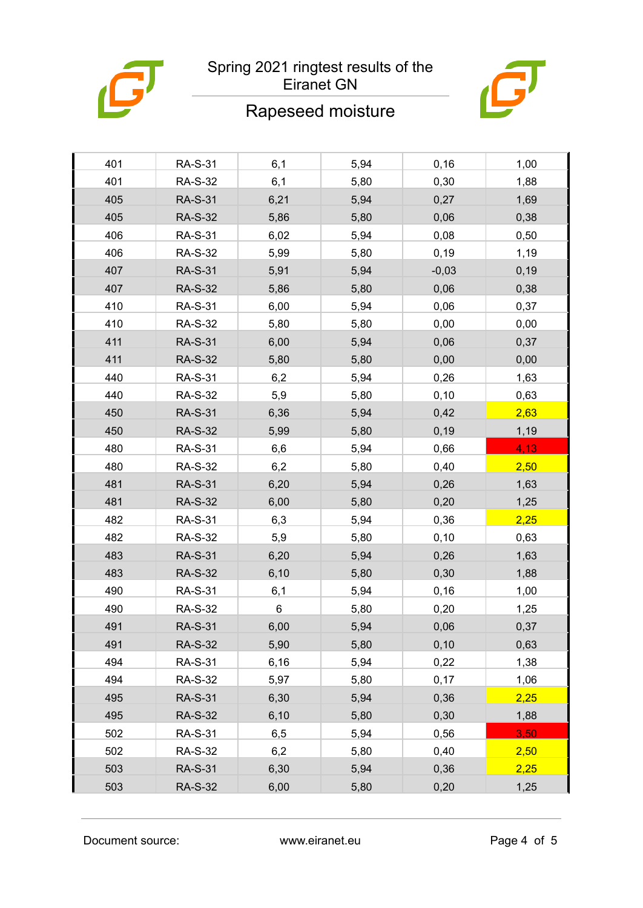

# Rapeseed moisture



| 401 | <b>RA-S-31</b> | 6,1   | 5,94 | 0,16    | 1,00  |
|-----|----------------|-------|------|---------|-------|
| 401 | <b>RA-S-32</b> | 6,1   | 5,80 | 0,30    | 1,88  |
| 405 | <b>RA-S-31</b> | 6,21  | 5,94 | 0,27    | 1,69  |
| 405 | <b>RA-S-32</b> | 5,86  | 5,80 | 0,06    | 0,38  |
| 406 | <b>RA-S-31</b> | 6,02  | 5,94 | 0,08    | 0,50  |
| 406 | <b>RA-S-32</b> | 5,99  | 5,80 | 0, 19   | 1,19  |
| 407 | <b>RA-S-31</b> | 5,91  | 5,94 | $-0,03$ | 0, 19 |
| 407 | <b>RA-S-32</b> | 5,86  | 5,80 | 0,06    | 0,38  |
| 410 | <b>RA-S-31</b> | 6,00  | 5,94 | 0,06    | 0,37  |
| 410 | <b>RA-S-32</b> | 5,80  | 5,80 | 0,00    | 0,00  |
| 411 | <b>RA-S-31</b> | 6,00  | 5,94 | 0,06    | 0,37  |
| 411 | <b>RA-S-32</b> | 5,80  | 5,80 | 0,00    | 0,00  |
| 440 | <b>RA-S-31</b> | 6,2   | 5,94 | 0,26    | 1,63  |
| 440 | <b>RA-S-32</b> | 5,9   | 5,80 | 0,10    | 0,63  |
| 450 | <b>RA-S-31</b> | 6,36  | 5,94 | 0,42    | 2,63  |
| 450 | <b>RA-S-32</b> | 5,99  | 5,80 | 0, 19   | 1,19  |
| 480 | <b>RA-S-31</b> | 6,6   | 5,94 | 0,66    | 4,13  |
| 480 | <b>RA-S-32</b> | 6,2   | 5,80 | 0,40    | 2,50  |
| 481 | <b>RA-S-31</b> | 6,20  | 5,94 | 0,26    | 1,63  |
| 481 | <b>RA-S-32</b> | 6,00  | 5,80 | 0,20    | 1,25  |
| 482 | <b>RA-S-31</b> | 6,3   | 5,94 | 0,36    | 2,25  |
| 482 | <b>RA-S-32</b> | 5,9   | 5,80 | 0,10    | 0,63  |
| 483 | <b>RA-S-31</b> | 6,20  | 5,94 | 0,26    | 1,63  |
| 483 | <b>RA-S-32</b> | 6, 10 | 5,80 | 0,30    | 1,88  |
| 490 | <b>RA-S-31</b> | 6,1   | 5,94 | 0, 16   | 1,00  |
| 490 | <b>RA-S-32</b> | $\,6$ | 5,80 | 0,20    | 1,25  |
| 491 | <b>RA-S-31</b> | 6,00  | 5,94 | 0,06    | 0,37  |
| 491 | <b>RA-S-32</b> | 5,90  | 5,80 | 0, 10   | 0,63  |
| 494 | <b>RA-S-31</b> | 6,16  | 5,94 | 0,22    | 1,38  |
| 494 | <b>RA-S-32</b> | 5,97  | 5,80 | 0,17    | 1,06  |
| 495 | <b>RA-S-31</b> | 6,30  | 5,94 | 0,36    | 2,25  |
| 495 | <b>RA-S-32</b> | 6,10  | 5,80 | 0,30    | 1,88  |
| 502 | <b>RA-S-31</b> | 6,5   | 5,94 | 0,56    | 3,50  |
| 502 | <b>RA-S-32</b> | 6,2   | 5,80 | 0,40    | 2,50  |
| 503 | <b>RA-S-31</b> | 6,30  | 5,94 | 0,36    | 2,25  |
| 503 | <b>RA-S-32</b> | 6,00  | 5,80 | 0,20    | 1,25  |
|     |                |       |      |         |       |

Document source: www.eiranet.eu Page 4 of 5